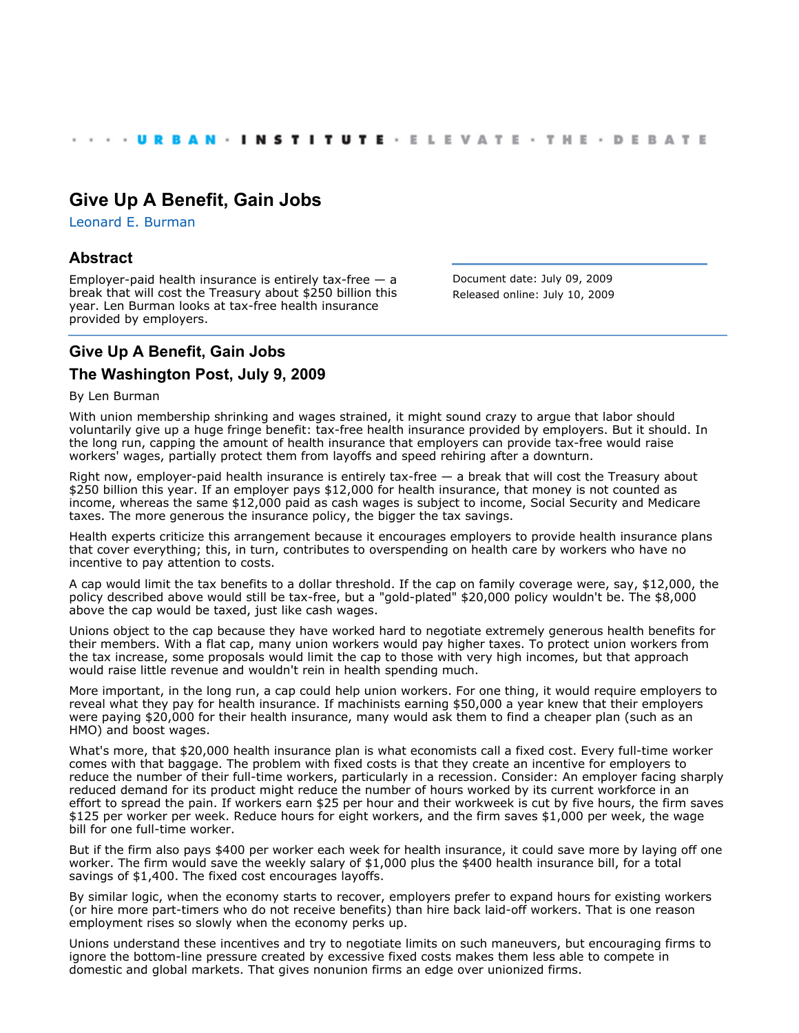# **[Give Up A Benefit, Gain Jobs](http://www.urban.org/index.cfm)**

[Leonard E. Burman](http://www.urban.org/LeonardEBurman)

## **Abstract**

Employer-paid health insurance is entirely tax-free  $-$  a break that will cost the Treasury about \$250 billion this year. Len Burman looks at tax-free health insurance provided by employers.

Document date: July 09, 2009 Released online: July 10, 2009

# **Give Up A Benefit, Gain Jobs**

## **The Washington Post, July 9, 2009**

#### By Len Burman

With union membership shrinking and wages strained, it might sound crazy to argue that labor should voluntarily give up a huge fringe benefit: tax-free health insurance provided by employers. But it should. In the long run, capping the amount of health insurance that employers can provide tax-free would raise workers' wages, partially protect them from layoffs and speed rehiring after a downturn.

Right now, employer-paid health insurance is entirely tax-free — a break that will cost the Treasury about \$250 billion this year. If an employer pays \$12,000 for health insurance, that money is not counted as income, whereas the same \$12,000 paid as cash wages is subject to income, Social Security and Medicare taxes. The more generous the insurance policy, the bigger the tax savings.

Health experts criticize this arrangement because it encourages employers to provide health insurance plans that cover everything; this, in turn, contributes to overspending on health care by workers who have no incentive to pay attention to costs.

A cap would limit the tax benefits to a dollar threshold. If the cap on family coverage were, say, \$12,000, the policy described above would still be tax-free, but a "gold-plated" \$20,000 policy wouldn't be. The \$8,000 above the cap would be taxed, just like cash wages.

Unions object to the cap because they have worked hard to negotiate extremely generous health benefits for their members. With a flat cap, many union workers would pay higher taxes. To protect union workers from the tax increase, some proposals would limit the cap to those with very high incomes, but that approach would raise little revenue and wouldn't rein in health spending much.

More important, in the long run, a cap could help union workers. For one thing, it would require employers to reveal what they pay for health insurance. If machinists earning \$50,000 a year knew that their employers were paying \$20,000 for their health insurance, many would ask them to find a cheaper plan (such as an HMO) and boost wages.

What's more, that \$20,000 health insurance plan is what economists call a fixed cost. Every full-time worker comes with that baggage. The problem with fixed costs is that they create an incentive for employers to reduce the number of their full-time workers, particularly in a recession. Consider: An employer facing sharply reduced demand for its product might reduce the number of hours worked by its current workforce in an effort to spread the pain. If workers earn \$25 per hour and their workweek is cut by five hours, the firm saves \$125 per worker per week. Reduce hours for eight workers, and the firm saves \$1,000 per week, the wage bill for one full-time worker.

But if the firm also pays \$400 per worker each week for health insurance, it could save more by laying off one worker. The firm would save the weekly salary of \$1,000 plus the \$400 health insurance bill, for a total savings of \$1,400. The fixed cost encourages layoffs.

By similar logic, when the economy starts to recover, employers prefer to expand hours for existing workers (or hire more part-timers who do not receive benefits) than hire back laid-off workers. That is one reason employment rises so slowly when the economy perks up.

Unions understand these incentives and try to negotiate limits on such maneuvers, but encouraging firms to ignore the bottom-line pressure created by excessive fixed costs makes them less able to compete in domestic and global markets. That gives nonunion firms an edge over unionized firms.